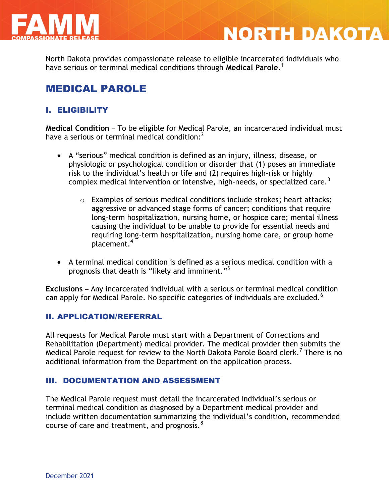

North Dakota provides compassionate release to eligible incarcerated individuals who have serious or terminal medical conditions through **Medical Parole**. 1

**NORTH DAKOTA** 

# MEDICAL PAROLE

## I. ELIGIBILITY

**Medical Condition** – To be eligible for Medical Parole, an incarcerated individual must have a serious or terminal medical condition: $<sup>2</sup>$ </sup>

- A "serious" medical condition is defined as an injury, illness, disease, or physiologic or psychological condition or disorder that (1) poses an immediate risk to the individual's health or life and (2) requires high-risk or highly complex medical intervention or intensive, high-needs, or specialized care.<sup>3</sup>
	- o Examples of serious medical conditions include strokes; heart attacks; aggressive or advanced stage forms of cancer; conditions that require long-term hospitalization, nursing home, or hospice care; mental illness causing the individual to be unable to provide for essential needs and requiring long-term hospitalization, nursing home care, or group home placement.<sup>4</sup>
- A terminal medical condition is defined as a serious medical condition with a prognosis that death is "likely and imminent."<sup>5</sup>

**Exclusions** – Any incarcerated individual with a serious or terminal medical condition can apply for Medical Parole. No specific categories of individuals are excluded.<sup>6</sup>

### II. APPLICATION/REFERRAL

All requests for Medical Parole must start with a Department of Corrections and Rehabilitation (Department) medical provider. The medical provider then submits the Medical Parole request for review to the North Dakota Parole Board clerk.<sup>7</sup> There is no additional information from the Department on the application process.

#### III. DOCUMENTATION AND ASSESSMENT

The Medical Parole request must detail the incarcerated individual's serious or terminal medical condition as diagnosed by a Department medical provider and include written documentation summarizing the individual's condition, recommended course of care and treatment, and prognosis.<sup>8</sup>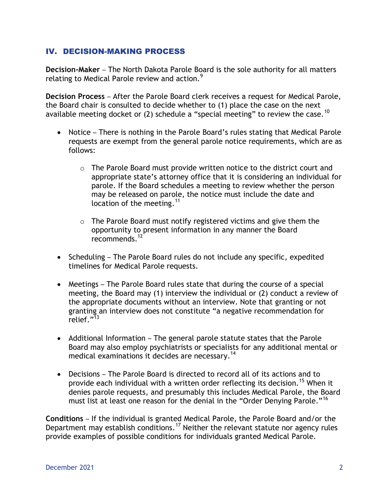### IV. DECISION-MAKING PROCESS

**Decision-Maker** – The North Dakota Parole Board is the sole authority for all matters relating to Medical Parole review and action. $^9$ 

**Decision Process** – After the Parole Board clerk receives a request for Medical Parole, the Board chair is consulted to decide whether to (1) place the case on the next available meeting docket or (2) schedule a "special meeting" to review the case.<sup>10</sup>

- Notice There is nothing in the Parole Board's rules stating that Medical Parole requests are exempt from the general parole notice requirements, which are as follows:
	- $\circ$  The Parole Board must provide written notice to the district court and appropriate state's attorney office that it is considering an individual for parole. If the Board schedules a meeting to review whether the person may be released on parole, the notice must include the date and location of the meeting.  $11$
	- o The Parole Board must notify registered victims and give them the opportunity to present information in any manner the Board recommends.<sup>12</sup>
- Scheduling The Parole Board rules do not include any specific, expedited timelines for Medical Parole requests.
- Meetings The Parole Board rules state that during the course of a special meeting, the Board may (1) interview the individual or (2) conduct a review of the appropriate documents without an interview. Note that granting or not granting an interview does not constitute "a negative recommendation for relief. $^{n\overline{1}3}$
- Additional Information The general parole statute states that the Parole Board may also employ psychiatrists or specialists for any additional mental or medical examinations it decides are necessary.<sup>14</sup>
- Decisions The Parole Board is directed to record all of its actions and to provide each individual with a written order reflecting its decision.<sup>15</sup> When it denies parole requests, and presumably this includes Medical Parole, the Board must list at least one reason for the denial in the "Order Denying Parole."<sup>16</sup>

**Conditions** – If the individual is granted Medical Parole, the Parole Board and/or the Department may establish conditions.<sup>17</sup> Neither the relevant statute nor agency rules provide examples of possible conditions for individuals granted Medical Parole.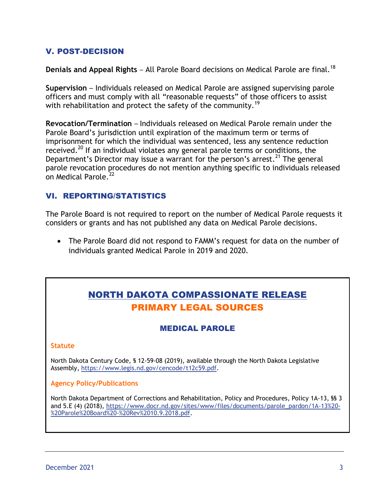## V. POST-DECISION

**Denials and Appeal Rights** – All Parole Board decisions on Medical Parole are final.<sup>18</sup>

**Supervision** – Individuals released on Medical Parole are assigned supervising parole officers and must comply with all "reasonable requests" of those officers to assist with rehabilitation and protect the safety of the community.<sup>19</sup>

**Revocation/Termination** – Individuals released on Medical Parole remain under the Parole Board's jurisdiction until expiration of the maximum term or terms of imprisonment for which the individual was sentenced, less any sentence reduction received.<sup>20</sup> If an individual violates any general parole terms or conditions, the Department's Director may issue a warrant for the person's arrest.<sup>21</sup> The general parole revocation procedures do not mention anything specific to individuals released on Medical Parole.<sup>22</sup>

## VI. REPORTING/STATISTICS

The Parole Board is not required to report on the number of Medical Parole requests it considers or grants and has not published any data on Medical Parole decisions.

 The Parole Board did not respond to FAMM's request for data on the number of individuals granted Medical Parole in 2019 and 2020.

# NORTH DAKOTA COMPASSIONATE RELEASE PRIMARY LEGAL SOURCES

### MEDICAL PAROLE

#### **Statute**

North Dakota Century Code, § 12-59-08 (2019), available through the North Dakota Legislative Assembly, [https://www.legis.nd.gov/cencode/t12c59.pdf.](https://www.legis.nd.gov/cencode/t12c59.pdf)

#### **Agency Policy/Publications**

North Dakota Department of Corrections and Rehabilitation, Policy and Procedures, Policy 1A-13, §§ 3 and 5.E (4) (2018), [https://www.docr.nd.gov/sites/www/files/documents/parole\\_pardon/1A-13%20-](https://www.docr.nd.gov/sites/www/files/documents/parole_pardon/1A-13%20-%20Parole%20Board%20-%20Rev%2010.9.2018.pdf) [%20Parole%20Board%20-%20Rev%2010.9.2018.pdf.](https://www.docr.nd.gov/sites/www/files/documents/parole_pardon/1A-13%20-%20Parole%20Board%20-%20Rev%2010.9.2018.pdf)